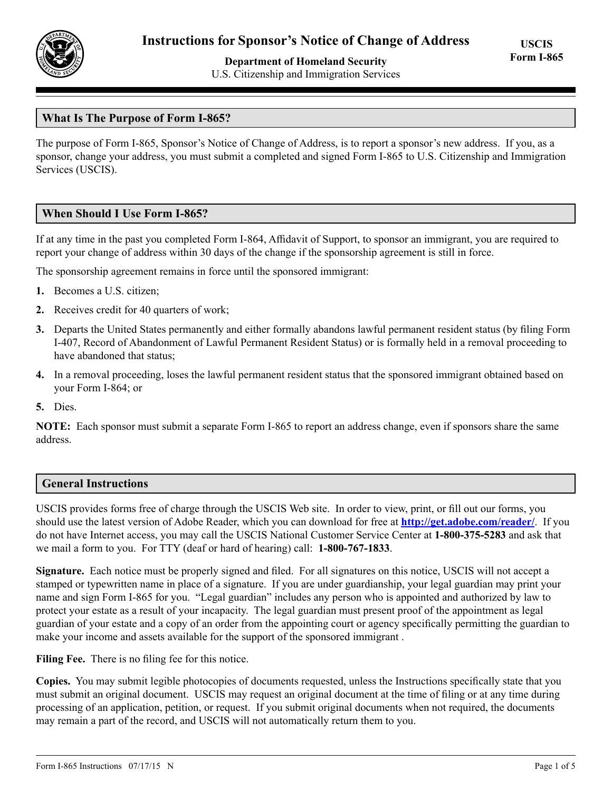

# **Department of Homeland Security** U.S. Citizenship and Immigration Services

# **What Is The Purpose of Form I-865?**

The purpose of Form I-865, Sponsor's Notice of Change of Address, is to report a sponsor's new address. If you, as a sponsor, change your address, you must submit a completed and signed Form I-865 to U.S. Citizenship and Immigration Services (USCIS).

## **When Should I Use Form I-865?**

If at any time in the past you completed Form I-864, Affidavit of Support, to sponsor an immigrant, you are required to report your change of address within 30 days of the change if the sponsorship agreement is still in force.

The sponsorship agreement remains in force until the sponsored immigrant:

- **1.** Becomes a U.S. citizen;
- **2.** Receives credit for 40 quarters of work;
- **3.** Departs the United States permanently and either formally abandons lawful permanent resident status (by filing Form I-407, Record of Abandonment of Lawful Permanent Resident Status) or is formally held in a removal proceeding to have abandoned that status;
- **4.** In a removal proceeding, loses the lawful permanent resident status that the sponsored immigrant obtained based on your Form I-864; or
- **5.** Dies.

**NOTE:** Each sponsor must submit a separate Form I-865 to report an address change, even if sponsors share the same address.

## **General Instructions**

USCIS provides forms free of charge through the USCIS Web site. In order to view, print, or fill out our forms, you should use the latest version of Adobe Reader, which you can download for free at **http://get.adobe.com/reader/**. If you do not have Internet access, you may call the USCIS National Customer Service Center at **1-800-375-5283** and ask that we mail a form to you. For TTY (deaf or hard of hearing) call: **1-800-767-1833**.

**Signature.** Each notice must be properly signed and filed. For all signatures on this notice, USCIS will not accept a stamped or typewritten name in place of a signature. If you are under guardianship, your legal guardian may print your name and sign Form I-865 for you. "Legal guardian" includes any person who is appointed and authorized by law to protect your estate as a result of your incapacity. The legal guardian must present proof of the appointment as legal guardian of your estate and a copy of an order from the appointing court or agency specifically permitting the guardian to make your income and assets available for the support of the sponsored immigrant .

Filing Fee. There is no filing fee for this notice.

**Copies.** You may submit legible photocopies of documents requested, unless the Instructions specifically state that you must submit an original document. USCIS may request an original document at the time of filing or at any time during processing of an application, petition, or request. If you submit original documents when not required, the documents may remain a part of the record, and USCIS will not automatically return them to you.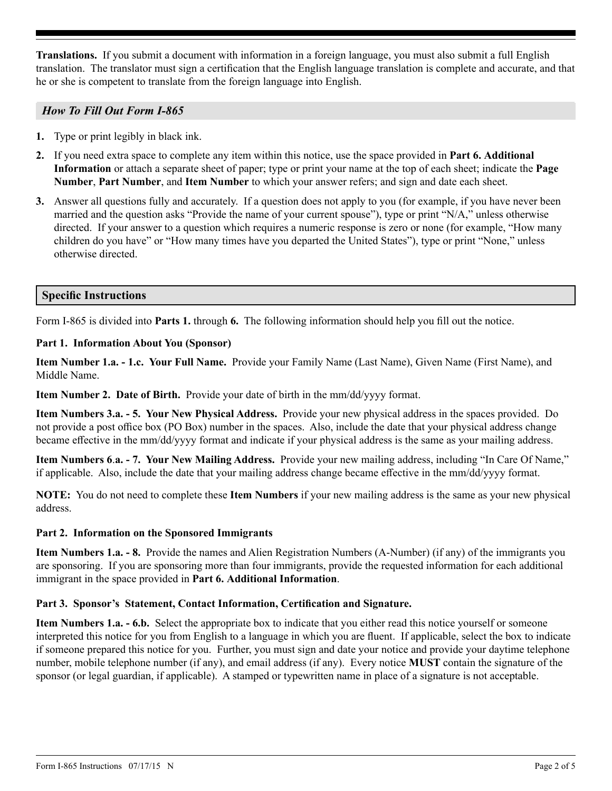**Translations.** If you submit a document with information in a foreign language, you must also submit a full English translation. The translator must sign a certification that the English language translation is complete and accurate, and that he or she is competent to translate from the foreign language into English.

## *How To Fill Out Form I-865*

- **1.** Type or print legibly in black ink.
- **2.** If you need extra space to complete any item within this notice, use the space provided in **Part 6. Additional Information** or attach a separate sheet of paper; type or print your name at the top of each sheet; indicate the **Page Number**, **Part Number**, and **Item Number** to which your answer refers; and sign and date each sheet.
- **3.** Answer all questions fully and accurately. If a question does not apply to you (for example, if you have never been married and the question asks "Provide the name of your current spouse"), type or print "N/A," unless otherwise directed. If your answer to a question which requires a numeric response is zero or none (for example, "How many children do you have" or "How many times have you departed the United States"), type or print "None," unless otherwise directed.

# **Specific Instructions**

Form I-865 is divided into **Parts 1.** through **6.** The following information should help you fill out the notice.

### **Part 1. Information About You (Sponsor)**

**Item Number 1.a. - 1.c. Your Full Name.** Provide your Family Name (Last Name), Given Name (First Name), and Middle Name.

**Item Number 2. Date of Birth.** Provide your date of birth in the mm/dd/yyyy format.

**Item Numbers 3.a. - 5. Your New Physical Address.** Provide your new physical address in the spaces provided. Do not provide a post office box (PO Box) number in the spaces. Also, include the date that your physical address change became effective in the mm/dd/yyyy format and indicate if your physical address is the same as your mailing address.

**Item Numbers 6**.**a. - 7. Your New Mailing Address.** Provide your new mailing address, including "In Care Of Name," if applicable. Also, include the date that your mailing address change became effective in the mm/dd/yyyy format.

**NOTE:** You do not need to complete these **Item Numbers** if your new mailing address is the same as your new physical address.

## **Part 2. Information on the Sponsored Immigrants**

**Item Numbers 1.a. - 8.** Provide the names and Alien Registration Numbers (A-Number) (if any) of the immigrants you are sponsoring. If you are sponsoring more than four immigrants, provide the requested information for each additional immigrant in the space provided in **Part 6. Additional Information**.

## **Part 3. Sponsor's Statement, Contact Information, Certification and Signature.**

**Item Numbers 1.a. - 6.b.** Select the appropriate box to indicate that you either read this notice yourself or someone interpreted this notice for you from English to a language in which you are fluent. If applicable, select the box to indicate if someone prepared this notice for you. Further, you must sign and date your notice and provide your daytime telephone number, mobile telephone number (if any), and email address (if any). Every notice **MUST** contain the signature of the sponsor (or legal guardian, if applicable). A stamped or typewritten name in place of a signature is not acceptable.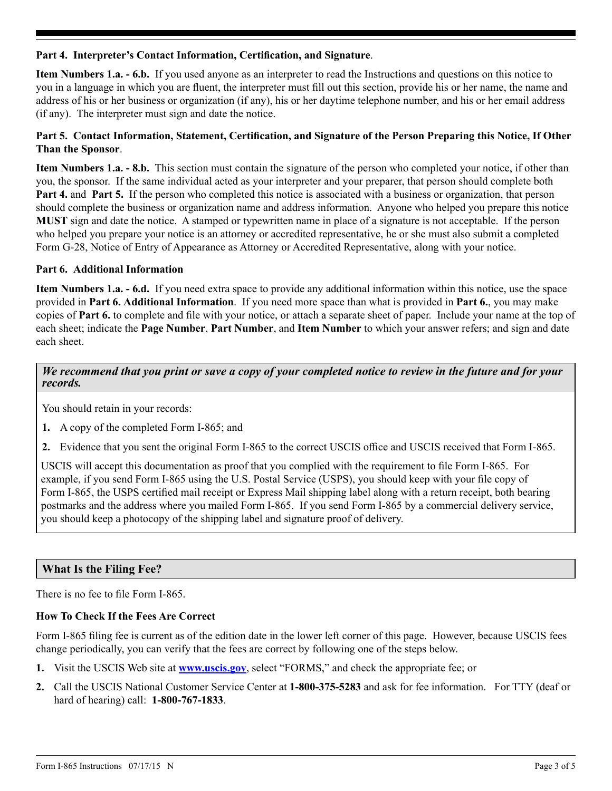### **Part 4. Interpreter's Contact Information, Certification, and Signature**.

**Item Numbers 1.a. - 6.b.** If you used anyone as an interpreter to read the Instructions and questions on this notice to you in a language in which you are fluent, the interpreter must fill out this section, provide his or her name, the name and address of his or her business or organization (if any), his or her daytime telephone number, and his or her email address (if any). The interpreter must sign and date the notice.

## **Part 5. Contact Information, Statement, Certification, and Signature of the Person Preparing this Notice, If Other Than the Sponsor**.

**Item Numbers 1.a. - 8.b.** This section must contain the signature of the person who completed your notice, if other than you, the sponsor. If the same individual acted as your interpreter and your preparer, that person should complete both **Part 4.** and **Part 5.** If the person who completed this notice is associated with a business or organization, that person should complete the business or organization name and address information. Anyone who helped you prepare this notice **MUST** sign and date the notice. A stamped or typewritten name in place of a signature is not acceptable. If the person who helped you prepare your notice is an attorney or accredited representative, he or she must also submit a completed Form G-28, Notice of Entry of Appearance as Attorney or Accredited Representative, along with your notice.

### **Part 6. Additional Information**

**Item Numbers 1.a. - 6.d.** If you need extra space to provide any additional information within this notice, use the space provided in **Part 6. Additional Information**. If you need more space than what is provided in **Part 6.**, you may make copies of **Part 6.** to complete and file with your notice, or attach a separate sheet of paper. Include your name at the top of each sheet; indicate the **Page Number**, **Part Number**, and **Item Number** to which your answer refers; and sign and date each sheet.

## *We recommend that you print or save a copy of your completed notice to review in the future and for your records.*

You should retain in your records:

- **1.** A copy of the completed Form I-865; and
- **2.** Evidence that you sent the original Form I-865 to the correct USCIS office and USCIS received that Form I-865.

USCIS will accept this documentation as proof that you complied with the requirement to file Form I-865. For example, if you send Form I-865 using the U.S. Postal Service (USPS), you should keep with your file copy of Form I-865, the USPS certified mail receipt or Express Mail shipping label along with a return receipt, both bearing postmarks and the address where you mailed Form I-865. If you send Form I-865 by a commercial delivery service, you should keep a photocopy of the shipping label and signature proof of delivery.

## **What Is the Filing Fee?**

There is no fee to file Form I-865.

### **How To Check If the Fees Are Correct**

Form I-865 filing fee is current as of the edition date in the lower left corner of this page. However, because USCIS fees change periodically, you can verify that the fees are correct by following one of the steps below.

- **1.** Visit the USCIS Web site at **www.uscis.gov**, select "FORMS," and check the appropriate fee; or
- **2.** Call the USCIS National Customer Service Center at **1-800-375-5283** and ask for fee information. For TTY (deaf or hard of hearing) call: **1-800-767-1833**.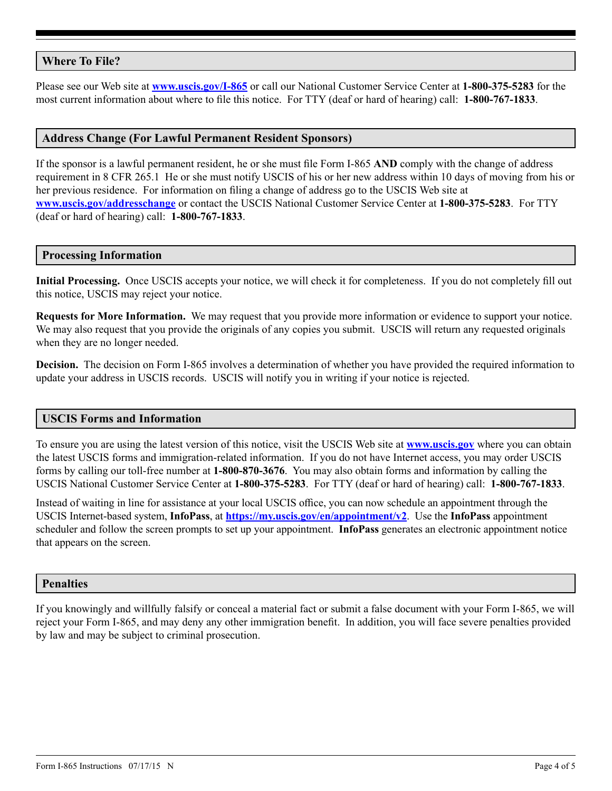# **Where To File?**

Please see our Web site at **[www.uscis.gov/I-865](http://www.uscis.gov/I-865)** or call our National Customer Service Center at **1-800-375-5283** for the most current information about where to file this notice. For TTY (deaf or hard of hearing) call: **1-800-767-1833**.

### **Address Change (For Lawful Permanent Resident Sponsors)**

If the sponsor is a lawful permanent resident, he or she must file Form I-865 **AND** comply with the change of address requirement in 8 CFR 265.1 He or she must notify USCIS of his or her new address within 10 days of moving from his or her previous residence. For information on filing a change of address go to the USCIS Web site at **www.uscis.gov/addresschange** or contact the USCIS National Customer Service Center at **1-800-375-5283**. For TTY (deaf or hard of hearing) call: **1-800-767-1833**.

#### **Processing Information**

**Initial Processing.** Once USCIS accepts your notice, we will check it for completeness. If you do not completely fill out this notice, USCIS may reject your notice.

**Requests for More Information.** We may request that you provide more information or evidence to support your notice. We may also request that you provide the originals of any copies you submit. USCIS will return any requested originals when they are no longer needed.

**Decision.** The decision on Form I-865 involves a determination of whether you have provided the required information to update your address in USCIS records. USCIS will notify you in writing if your notice is rejected.

## **USCIS Forms and Information**

To ensure you are using the latest version of this notice, visit the USCIS Web site at **[www.uscis.gov](http://www.uscis.gov)** where you can obtain the latest USCIS forms and immigration-related information. If you do not have Internet access, you may order USCIS forms by calling our toll-free number at **1-800-870-3676**. You may also obtain forms and information by calling the USCIS National Customer Service Center at **1-800-375-5283**. For TTY (deaf or hard of hearing) call: **1-800-767-1833**.

Instead of waiting in line for assistance at your local USCIS office, you can now schedule an appointment through the USCIS Internet-based system, **InfoPass**, at **<https://my.uscis.gov/en/appointment/v2>**. Use the **InfoPass** appointment scheduler and follow the screen prompts to set up your appointment. **InfoPass** generates an electronic appointment notice that appears on the screen.

### **Penalties**

If you knowingly and willfully falsify or conceal a material fact or submit a false document with your Form I-865, we will reject your Form I-865, and may deny any other immigration benefit. In addition, you will face severe penalties provided by law and may be subject to criminal prosecution.